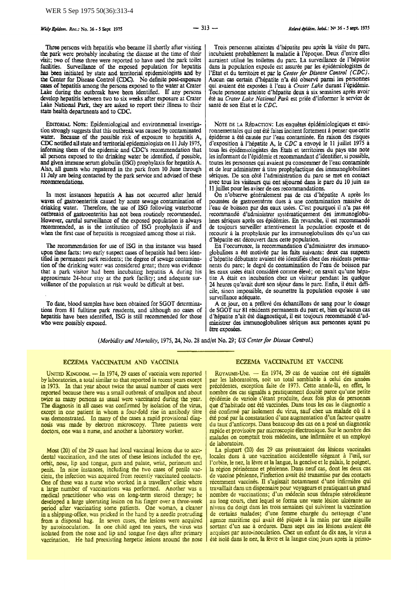Three persons with hepatitis who became ill shortly after visiting the park were probably incubating the disease at the time of their visit; two of these three were reported to have used the park toilet facilities. Surveillance of the exposed population for hepatitis bas been initiated by state and territorial epidemiologists and by the Center for Disease Control (CDC). No definite post-exposure cases of hepatitis among the persons exposed to the water at Crater Lake during the outbreak have been identified. If any persons develop hepatitis between two to six weeks after exposure at Crater Lake National Park, they are asked to report their illness to their state health departments and to CDC.

EDITORIAL NOTE: Epidemiological and environmental investigation strongly suggests that this outbreak was caused by contaminated water. Because of the possible risk of exposure to hepatitis A, CDC notified all state and territorial epidemiologists on 11 July 1975, informing them of the epidemic and CDC's recommendation that all persons exposed to the drinking water be identified, if possible, and given immune serum globulin (ISG) prophylaxis for hepatitis A. Also, all guests who registered in the park from 10 June through 11 July are being contacted by the park service and advised of these recommendations.

In most instances hepatitis A has not occurred after herald waves of gastroenteritis caused by acute sewage contamination of drinking water. Therefore, the use of ISG following waterborne outbreaks of gastroenteritis has not been routinely recommended. However, careful surveillance of the exposed population is always recommended, as is the institution of ISG prophylaxis if and when the first case of hepatitis is recognized among those at risk.

The recommendation for use of ISG in this instance was based upon these facts: two early suspect cases of hepatitis had been identified in permanent park residents; the degree of sewage contamina· tion of the drinking water was considered great; there was evidence that a park visitor had been incubating hepatitis A during his approximate 24-hour stay at the park facility; and adequate surveillance of the population at risk would be difficult at best.

To date, blood samples have been obtained for SGOT detenniuations from 81 fulltime park residents, and although no cases of hepatitis have been identified, ISG is still recommended for those who were possibly exposed.

Trois personnes atteintes d'hepatite peu apres Ia visite du pare, incubaient probablement Ia ma1adie a l'epoque. Deux d'entre elles auraient utilisé les toilettes du parc. La surveillance de l'hépatite dans Ia population exposee est assuree par les epidemiologistes de l'Etat et du territoire et par le *Center for Disease Control (CDC).*  Aucun cas certain d'hepatite n'a ete observe parmi les personnes qui avaient ete expos6es a l'eau a *Crater Lake* durant l'epidemie. Toute personne atteinte d'hepatite deux a six semaines apres avoir ere au *Crater Lake National Park* est priee d'informer le service de santé de son Etat et le CDC.

NOTE DE LA RÉDACTION: Les enquêtes épidémiologiques et environnementales qui ont été faites incitent fortement à penser que cette epiderme a ete causee par l'eau contaminee. En raison des risques d'exposition a l'hepatite A, le *CDC* a envoye le 11 juillet 1975 a tous les épidémiologistes des Etats et territoires du pays une note les informant de l'epidemie et recommandant d'identifier, si possible, toutes les personnes qui avaient pu consommer de l'eau contaminee et de leur administrer a titre prophylactique des immunoglobulines seriques. De son c6te !'administration du pare se met en contact avec tous les visiteurs qui ont sejoume dans le pare du 10 juin au 11 juillet pour les aviser de ces recommandations.

On n'observe généralement pas de cas d'hépatite A après les poussées de gastroenterite dues à une contamination massive de l'eau de boisson par des eaux usées. C'est pourquoi il n'a pas été recommande d'adrninistrer systematiquement des irnmunoglobu· lines sériques après ces épidémies. En revanche, il est recommandé de toujours surveiller attentivement Ia population exposee et de recourir à la prophylaxie par les immunoglobulines dès qu'un cas d'hépatite est découvert dans cette population.

En !'occurrence, Ia recommandation d'administrer des immunoglobulines a ete motivee par les faits suivants: deux cas suspects d'hépatite débutante avaient été identifiés chez des résidents permanents du pare; le degre de contamination de l'eau de boisson par les eaux usées était considéré comme élevé; on savait qu'une hépatite A etait en incubation chez un visiteur pendant les quelque 24 heures qu'avait duré son séjour dans le parc. Enfin, il était difficile, sinon impossible, de soumettre la population exposée à une surveillance adéquate.

A ce jour, on a preleve des echantillons de sang pour le dosage de SGOT sur 81 residents permanents du pare et, bien qu'aucun cas d'hepatite n'ait ete diagnostique, il est toujours recommande d'administrer des immunoglobulines seriques aux personnes ayant pu être exposées.

*(Morbidity and Mortality, 1915,* 24, No. 28 and/et No. 29; *US Center for Disease Control.)* 

### ECZEMA VACCINATUM AND VACCINIA

UNITED KINGDOM. - In 1974, 29 cases of vaccinia were reported by laboratories, a total similar to that reported in recent years except in 1973. In that year about twice the usual number of cases were reported because there was a small outbreak of smallpox and about twice as many persons as usual were vaccinated during the year. The diagnosis in all cases was confirmed by isolation of the virus, except in one patient in whom a four-fold rise in antibody titre was demonstrated. In many of the cases a rapid provisional diagnosis was made by electron microscopy. Three patients were doctors, one was a nurse, and another a laboratory worker.

Most (20) of the 29 cases had local vaccinial lesions due to accidental vaccination, and the Sites of these lesions included the eye, orbit, nose, lip and tongue, gum and palate, wrist, perineum and penis. In nine instances, including the two cases of penile vac-<br>cinia, the infection was acquired from recently vaccinated contacts.<br>One of these was a nurse who worked in a travellers' clinic where a large number of vaccinations was performed. Another was a medical practitioner who was on long-term steroid therapy; he developed a large ulcerating lesion on his finger over a three-week period after vaccinating some patients. One woman, a cleaner in a shipping-office, was pricked in the hand by a needle protruding from a disposal bag. In seven cases, the lesions were acquired by autoinoculation. In one child aged ten years, the virus was isolated from the nose and lip and tongue five days after primary vaccination, He had preexisting herpetic lesions around the nose

#### ECZEMA VACCINATUM ET VACCINE

ROYAUME-UNI. - En 1974, 29 cas de vaccine ont été signalés par les laboratoires, soit un total semblable a celui des annees precedentes, exception faite de 1973. Cette annee-la, en effet, le nombre des cas signales a pratiquement double parce qu'une petite epidemic de variole s'etant produite, deux fois plus de personnes que d'habitude ant ere vaccinees. Dans taus les cas le diagnostic a ete confirme par isolement du virus, sauf chez un malade oil il a ete pose par Ia constatation d'une augmentation d'un facteur quatre du taux d'anticorps. Dans beaucoup des cas on a pose un diagnostic rapide et provisoire par microscopie electronique. Sur le nombre des malades on comptait trois médecins, une infirmière et un employé de laboratoire.

La plupart (20) des 29 cas présentaient des lésions vaccinales<br>locales dues à une vaccination accidentelle siégeant à l'œil, sur l'orbite, le nez, la lèvre et la langue, la gencive et le palais, le poignet,<br>la région périnéenne et pénienne. Dans neuf cas, dont les deux cas de vaccine pénienne, l'infection avait été transmise par des contacts récemment vaccinés. Il s'agissait notamment d'une infirmière qui travaillait dans un dispensaire pour voyageurs et pratiquant un grand au long cours, chez lequel se forma une vaste lésion ulcérante au niveau du doigt dans les trois semaines qui suivirent la vaccination de certains malades; d'une femme chargée du nettoyage d'une agence maritime qui avait été piquée à la main par une aiguille sortant d'un sac à ordures. Dans sept cas les lésions avaient été acquises par auto-inoculation. Chez un enfant de dix ans, le virus a ete isole dans le nez, Ia levre et Ia langue cinq jours apres Ia prima·